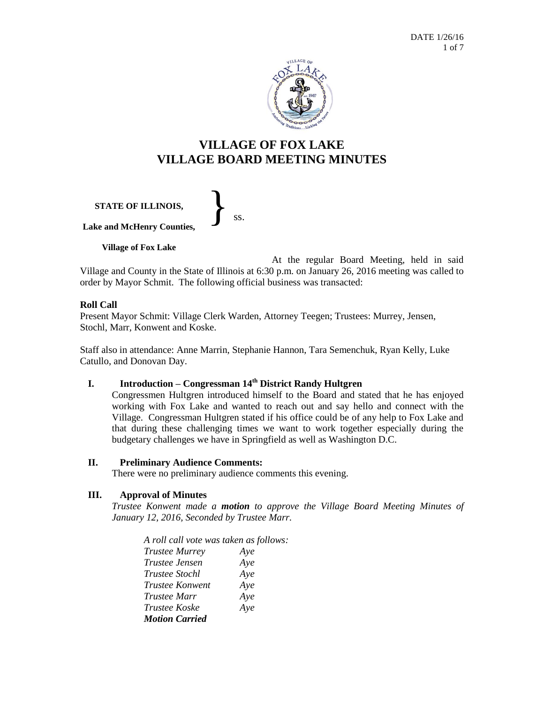

# **VILLAGE OF FOX LAKE VILLAGE BOARD MEETING MINUTES**

**STATE OF ILLINOIS, Lake and McHenry Counties, Village of Fox Lake** }<br>*ss.* 

At the regular Board Meeting, held in said Village and County in the State of Illinois at 6:30 p.m. on January 26, 2016 meeting was called to order by Mayor Schmit. The following official business was transacted:

### **Roll Call**

Present Mayor Schmit: Village Clerk Warden, Attorney Teegen; Trustees: Murrey, Jensen, Stochl, Marr, Konwent and Koske.

Staff also in attendance: Anne Marrin, Stephanie Hannon, Tara Semenchuk, Ryan Kelly, Luke Catullo, and Donovan Day.

## **I. Introduction – Congressman 14th District Randy Hultgren**

Congressmen Hultgren introduced himself to the Board and stated that he has enjoyed working with Fox Lake and wanted to reach out and say hello and connect with the Village. Congressman Hultgren stated if his office could be of any help to Fox Lake and that during these challenging times we want to work together especially during the budgetary challenges we have in Springfield as well as Washington D.C.

#### **II. Preliminary Audience Comments:**

There were no preliminary audience comments this evening.

#### **III. Approval of Minutes**

*Trustee Konwent made a motion to approve the Village Board Meeting Minutes of January 12, 2016, Seconded by Trustee Marr.*

*A roll call vote was taken as follows: Trustee Murrey Aye Trustee Jensen Aye Trustee Stochl Aye Trustee Konwent Aye Trustee Marr Aye Trustee Koske Aye Motion Carried*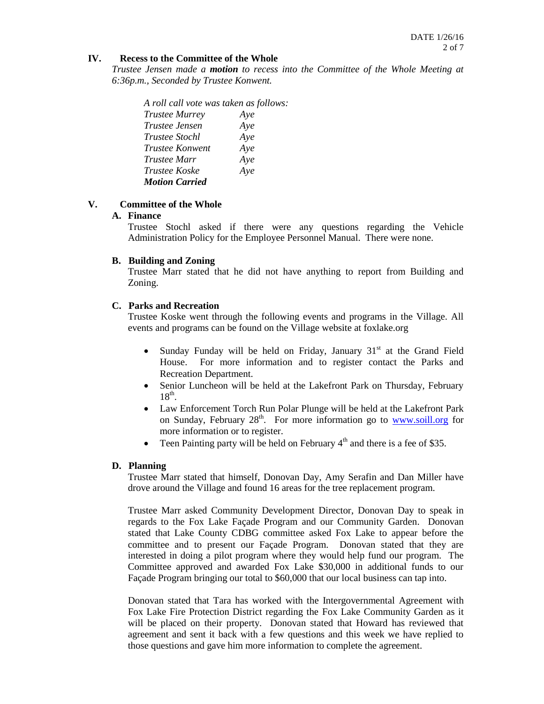#### **IV. Recess to the Committee of the Whole**

*Trustee Jensen made a motion to recess into the Committee of the Whole Meeting at 6:36p.m., Seconded by Trustee Konwent.*

*A roll call vote was taken as follows: Trustee Murrey Aye Trustee Jensen Aye Trustee Stochl Aye Trustee Konwent Aye Trustee Marr Aye Trustee Koske Aye Motion Carried*

### **V. Committee of the Whole**

#### **A. Finance**

Trustee Stochl asked if there were any questions regarding the Vehicle Administration Policy for the Employee Personnel Manual. There were none.

#### **B. Building and Zoning**

Trustee Marr stated that he did not have anything to report from Building and Zoning.

### **C. Parks and Recreation**

Trustee Koske went through the following events and programs in the Village. All events and programs can be found on the Village website at foxlake.org

- Sunday Funday will be held on Friday, January  $31<sup>st</sup>$  at the Grand Field House. For more information and to register contact the Parks and Recreation Department.
- Senior Luncheon will be held at the Lakefront Park on Thursday, February  $18<sup>th</sup>$ .
- Law Enforcement Torch Run Polar Plunge will be held at the Lakefront Park on Sunday, February  $28<sup>th</sup>$ . For more information go to [www.soill.org](http://www.soill.org/) for more information or to register.
- Teen Painting party will be held on February  $4<sup>th</sup>$  and there is a fee of \$35.

#### **D. Planning**

Trustee Marr stated that himself, Donovan Day, Amy Serafin and Dan Miller have drove around the Village and found 16 areas for the tree replacement program.

Trustee Marr asked Community Development Director, Donovan Day to speak in regards to the Fox Lake Façade Program and our Community Garden. Donovan stated that Lake County CDBG committee asked Fox Lake to appear before the committee and to present our Façade Program. Donovan stated that they are interested in doing a pilot program where they would help fund our program. The Committee approved and awarded Fox Lake \$30,000 in additional funds to our Façade Program bringing our total to \$60,000 that our local business can tap into.

Donovan stated that Tara has worked with the Intergovernmental Agreement with Fox Lake Fire Protection District regarding the Fox Lake Community Garden as it will be placed on their property. Donovan stated that Howard has reviewed that agreement and sent it back with a few questions and this week we have replied to those questions and gave him more information to complete the agreement.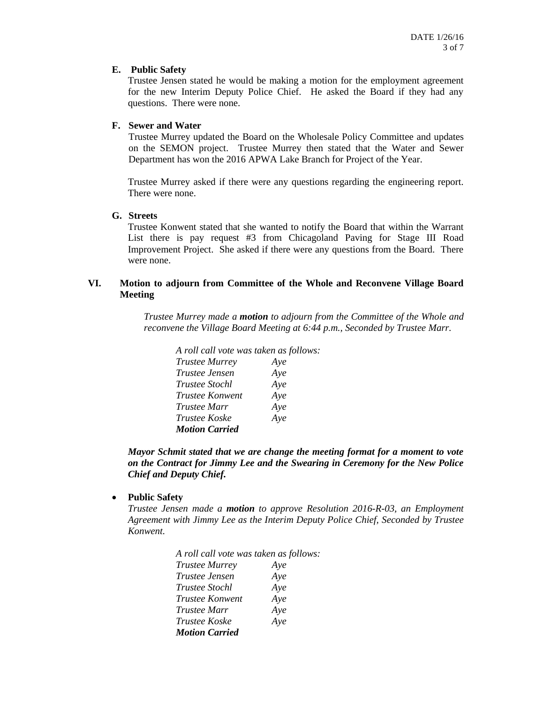#### **E. Public Safety**

Trustee Jensen stated he would be making a motion for the employment agreement for the new Interim Deputy Police Chief. He asked the Board if they had any questions. There were none.

#### **F. Sewer and Water**

Trustee Murrey updated the Board on the Wholesale Policy Committee and updates on the SEMON project. Trustee Murrey then stated that the Water and Sewer Department has won the 2016 APWA Lake Branch for Project of the Year.

Trustee Murrey asked if there were any questions regarding the engineering report. There were none.

### **G. Streets**

Trustee Konwent stated that she wanted to notify the Board that within the Warrant List there is pay request #3 from Chicagoland Paving for Stage III Road Improvement Project. She asked if there were any questions from the Board. There were none.

#### **VI. Motion to adjourn from Committee of the Whole and Reconvene Village Board Meeting**

*Trustee Murrey made a motion to adjourn from the Committee of the Whole and reconvene the Village Board Meeting at 6:44 p.m., Seconded by Trustee Marr.*

*A roll call vote was taken as follows: Trustee Murrey Aye Trustee Jensen Aye Trustee Stochl Aye Trustee Konwent Aye Trustee Marr Aye Trustee Koske Aye Motion Carried*

*Mayor Schmit stated that we are change the meeting format for a moment to vote on the Contract for Jimmy Lee and the Swearing in Ceremony for the New Police Chief and Deputy Chief.*

**Public Safety**

*Trustee Jensen made a motion to approve Resolution 2016-R-03, an Employment Agreement with Jimmy Lee as the Interim Deputy Police Chief, Seconded by Trustee Konwent.*

| A roll call vote was taken as follows: |     |
|----------------------------------------|-----|
| <b>Trustee Murrey</b>                  | Aye |
| Trustee Jensen                         | Aye |
| <i>Trustee Stochl</i>                  | Aye |
| <i>Trustee Konwent</i>                 | Aye |
| <i>Trustee Marr</i>                    | Aye |
| Trustee Koske                          | Aye |
| <b>Motion Carried</b>                  |     |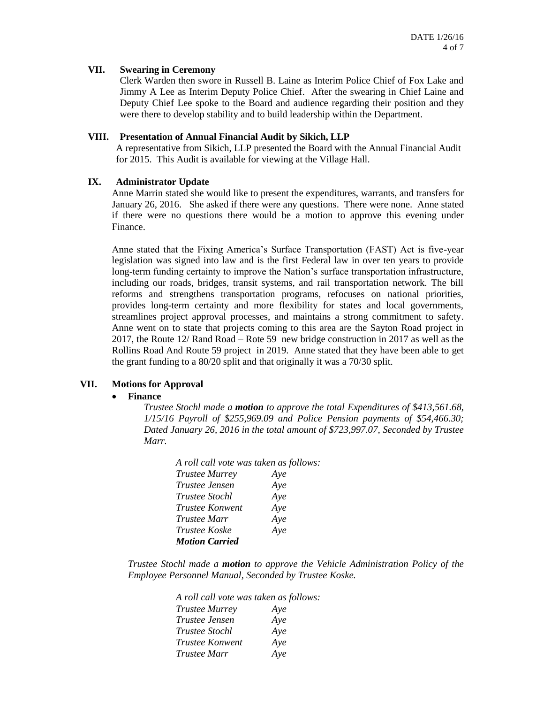#### **VII. Swearing in Ceremony**

Clerk Warden then swore in Russell B. Laine as Interim Police Chief of Fox Lake and Jimmy A Lee as Interim Deputy Police Chief. After the swearing in Chief Laine and Deputy Chief Lee spoke to the Board and audience regarding their position and they were there to develop stability and to build leadership within the Department.

#### **VIII. Presentation of Annual Financial Audit by Sikich, LLP**

A representative from Sikich, LLP presented the Board with the Annual Financial Audit for 2015. This Audit is available for viewing at the Village Hall.

#### **IX. Administrator Update**

Anne Marrin stated she would like to present the expenditures, warrants, and transfers for January 26, 2016. She asked if there were any questions. There were none. Anne stated if there were no questions there would be a motion to approve this evening under Finance.

Anne stated that the Fixing America's Surface Transportation (FAST) Act is five-year legislation was signed into law and is the first Federal law in over ten years to provide long-term funding certainty to improve the Nation's surface transportation infrastructure, including our roads, bridges, transit systems, and rail transportation network. The bill reforms and strengthens transportation programs, refocuses on national priorities, provides long-term certainty and more flexibility for states and local governments, streamlines project approval processes, and maintains a strong commitment to safety. Anne went on to state that projects coming to this area are the Sayton Road project in 2017, the Route 12/ Rand Road – Rote 59 new bridge construction in 2017 as well as the Rollins Road And Route 59 project in 2019. Anne stated that they have been able to get the grant funding to a 80/20 split and that originally it was a 70/30 split.

#### **VII. Motions for Approval**

#### **Finance**

*Trustee Stochl made a motion to approve the total Expenditures of \$413,561.68, 1/15/16 Payroll of \$255,969.09 and Police Pension payments of \$54,466.30; Dated January 26, 2016 in the total amount of \$723,997.07, Seconded by Trustee Marr.*

| A roll call vote was taken as follows: |     |
|----------------------------------------|-----|
| <b>Trustee Murrey</b>                  | Aye |
| <i>Trustee Jensen</i>                  | Aye |
| <i>Trustee Stochl</i>                  | Aye |
| <i>Trustee Konwent</i>                 | Aye |
| <i>Trustee Marr</i>                    | Aye |
| <i>Trustee Koske</i>                   | Aye |
| <b>Motion Carried</b>                  |     |

*Trustee Stochl made a motion to approve the Vehicle Administration Policy of the Employee Personnel Manual, Seconded by Trustee Koske.*

> *A roll call vote was taken as follows: Trustee Murrey Aye Trustee Jensen Aye Trustee Stochl Aye Trustee Konwent Aye Trustee Marr Aye*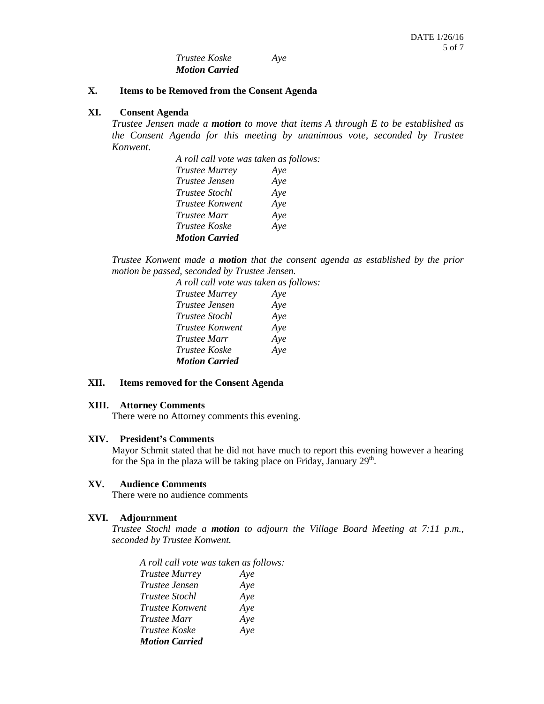*Trustee Koske Aye Motion Carried*

#### **X. Items to be Removed from the Consent Agenda**

#### **XI. Consent Agenda**

*Trustee Jensen made a motion to move that items A through E to be established as the Consent Agenda for this meeting by unanimous vote, seconded by Trustee Konwent.*

| A roll call vote was taken as follows: |     |  |
|----------------------------------------|-----|--|
| <b>Trustee Murrey</b>                  | Aye |  |
| <i>Trustee Jensen</i>                  | Aye |  |
| <i>Trustee Stochl</i>                  | Aye |  |
| Trustee Konwent                        | Aye |  |
| <i>Trustee Marr</i>                    | Aye |  |
| <i>Trustee Koske</i>                   | Aye |  |
| <b>Motion Carried</b>                  |     |  |

*Trustee Konwent made a motion that the consent agenda as established by the prior motion be passed, seconded by Trustee Jensen.*

| A roll call vote was taken as follows: |     |
|----------------------------------------|-----|
| <b>Trustee Murrey</b>                  | Aye |
| Trustee Jensen                         | Aye |
| Trustee Stochl                         | Aye |
| Trustee Konwent                        | Aye |
| Trustee Marr                           | Aye |
| Trustee Koske                          | Aye |
| <b>Motion Carried</b>                  |     |

#### **XII. Items removed for the Consent Agenda**

#### **XIII. Attorney Comments**

There were no Attorney comments this evening.

#### **XIV. President's Comments**

Mayor Schmit stated that he did not have much to report this evening however a hearing for the Spa in the plaza will be taking place on Friday, January  $29<sup>th</sup>$ .

#### **XV. Audience Comments**

There were no audience comments

#### **XVI. Adjournment**

*Trustee Stochl made a motion to adjourn the Village Board Meeting at 7:11 p.m., seconded by Trustee Konwent.*

*A roll call vote was taken as follows: Trustee Murrey Aye Trustee Jensen Aye Trustee Stochl Aye Trustee Konwent Aye Trustee Marr Aye Trustee Koske Aye Motion Carried*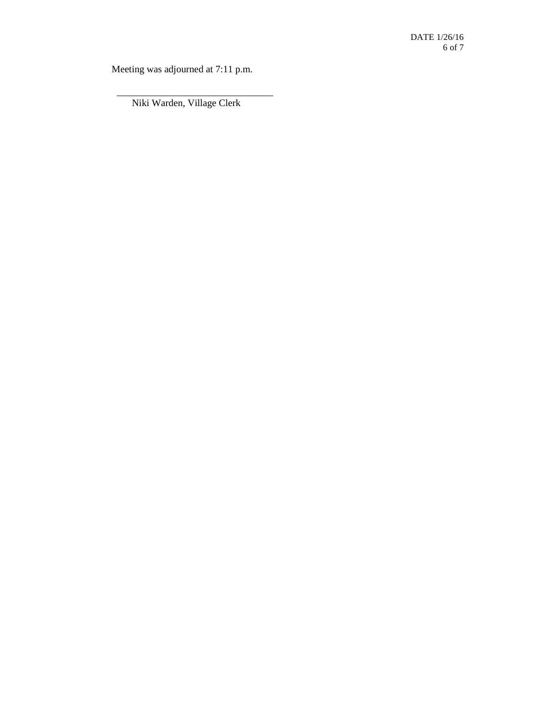Meeting was adjourned at 7:11 p.m.

 \_\_\_\_\_\_\_\_\_\_\_\_\_\_\_\_\_\_\_\_\_\_\_\_\_\_\_\_\_\_\_\_ Niki Warden, Village Clerk